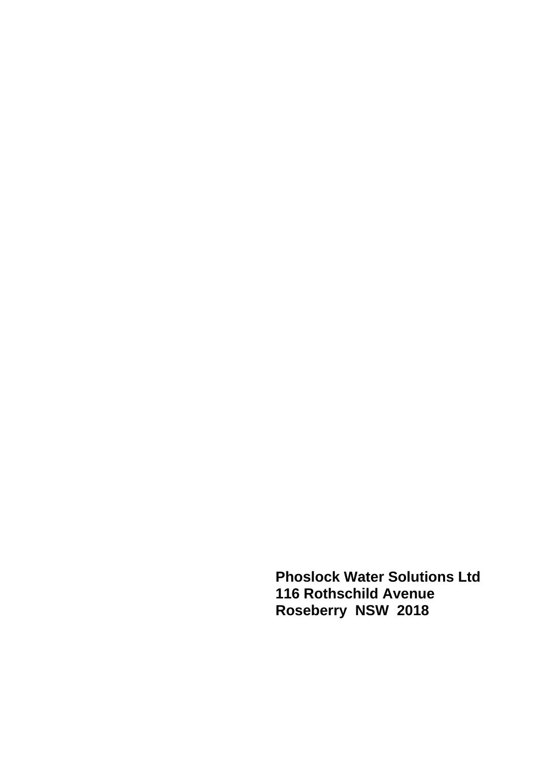**Phoslock Water Solutions Ltd 116 Rothschild Avenue Roseberry NSW 2018**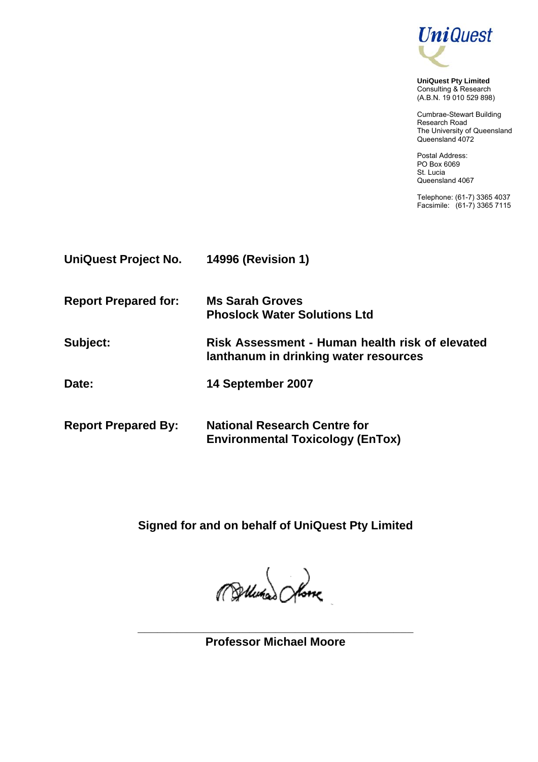

**UniQuest Pty Limited** Consulting & Research (A.B.N. 19 010 529 898)

Cumbrae-Stewart Building Research Road The University of Queensland Queensland 4072

Postal Address: PO Box 6069 St. Lucia Queensland 4067

Telephone: (61-7) 3365 4037 Facsimile: (61-7) 3365 7115

| UniQuest Project No.        | <b>14996 (Revision 1)</b>                                                                |
|-----------------------------|------------------------------------------------------------------------------------------|
| <b>Report Prepared for:</b> | <b>Ms Sarah Groves</b><br><b>Phoslock Water Solutions Ltd</b>                            |
| Subject:                    | Risk Assessment - Human health risk of elevated<br>lanthanum in drinking water resources |
| Date:                       | 14 September 2007                                                                        |
| <b>Report Prepared By:</b>  | <b>National Research Centre for</b><br><b>Environmental Toxicology (EnTox)</b>           |

**Signed for and on behalf of UniQuest Pty Limited** 

Pollutian Shore

**\_\_\_\_\_\_\_\_\_\_\_\_\_\_\_\_\_\_\_\_\_\_\_\_\_\_\_\_\_\_\_\_\_\_\_\_\_\_\_\_\_\_ Professor Michael Moore**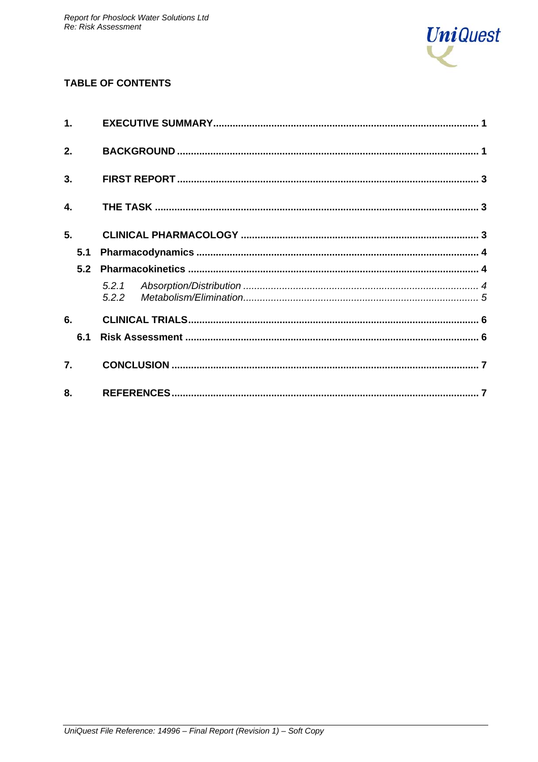

# **TABLE OF CONTENTS**

| 1.  |     |  |  |
|-----|-----|--|--|
| 2.  |     |  |  |
| 3.  |     |  |  |
| 4.  |     |  |  |
| 5.  |     |  |  |
| 5.1 |     |  |  |
| 5.2 |     |  |  |
|     | 522 |  |  |
| 6.  |     |  |  |
| 6.1 |     |  |  |
| 7.  |     |  |  |
| 8.  |     |  |  |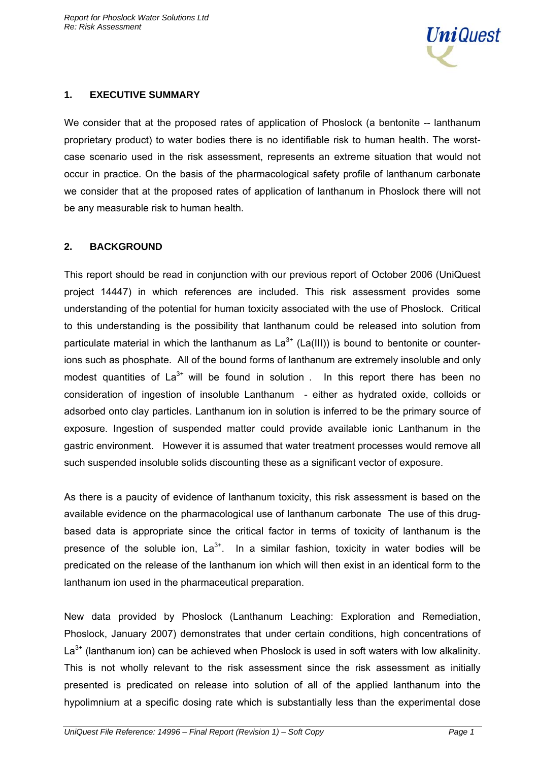

### **1. EXECUTIVE SUMMARY**

We consider that at the proposed rates of application of Phoslock (a bentonite -- lanthanum proprietary product) to water bodies there is no identifiable risk to human health. The worstcase scenario used in the risk assessment, represents an extreme situation that would not occur in practice. On the basis of the pharmacological safety profile of lanthanum carbonate we consider that at the proposed rates of application of lanthanum in Phoslock there will not be any measurable risk to human health.

# **2. BACKGROUND**

This report should be read in conjunction with our previous report of October 2006 (UniQuest project 14447) in which references are included. This risk assessment provides some understanding of the potential for human toxicity associated with the use of Phoslock. Critical to this understanding is the possibility that lanthanum could be released into solution from particulate material in which the lanthanum as  $La^{3+}$  (La(III)) is bound to bentonite or counterions such as phosphate. All of the bound forms of lanthanum are extremely insoluble and only modest quantities of  $La^{3+}$  will be found in solution . In this report there has been no consideration of ingestion of insoluble Lanthanum - either as hydrated oxide, colloids or adsorbed onto clay particles. Lanthanum ion in solution is inferred to be the primary source of exposure. Ingestion of suspended matter could provide available ionic Lanthanum in the gastric environment. However it is assumed that water treatment processes would remove all such suspended insoluble solids discounting these as a significant vector of exposure.

As there is a paucity of evidence of lanthanum toxicity, this risk assessment is based on the available evidence on the pharmacological use of lanthanum carbonate The use of this drugbased data is appropriate since the critical factor in terms of toxicity of lanthanum is the presence of the soluble ion,  $La^{3+}$ . In a similar fashion, toxicity in water bodies will be predicated on the release of the lanthanum ion which will then exist in an identical form to the lanthanum ion used in the pharmaceutical preparation.

New data provided by Phoslock (Lanthanum Leaching: Exploration and Remediation, Phoslock, January 2007) demonstrates that under certain conditions, high concentrations of  $La<sup>3+</sup>$  (lanthanum ion) can be achieved when Phoslock is used in soft waters with low alkalinity. This is not wholly relevant to the risk assessment since the risk assessment as initially presented is predicated on release into solution of all of the applied lanthanum into the hypolimnium at a specific dosing rate which is substantially less than the experimental dose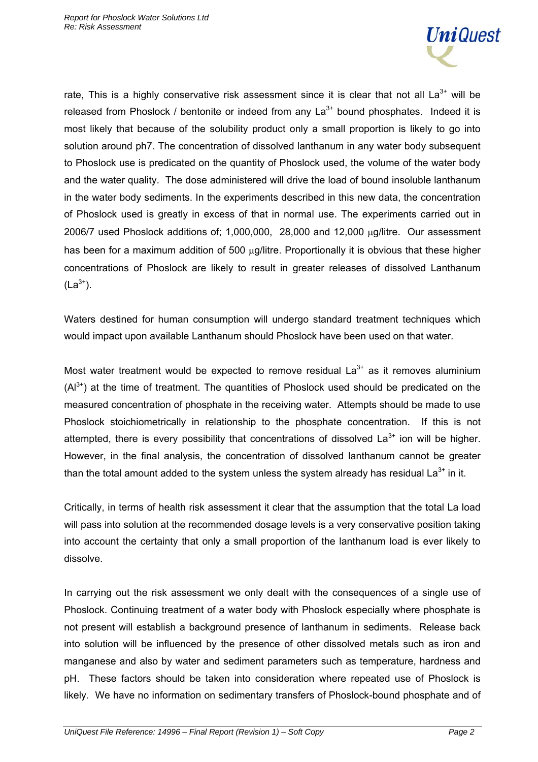

rate, This is a highly conservative risk assessment since it is clear that not all  $La^{3+}$  will be released from Phoslock / bentonite or indeed from any  $La^{3+}$  bound phosphates. Indeed it is most likely that because of the solubility product only a small proportion is likely to go into solution around ph7. The concentration of dissolved lanthanum in any water body subsequent to Phoslock use is predicated on the quantity of Phoslock used, the volume of the water body and the water quality. The dose administered will drive the load of bound insoluble lanthanum in the water body sediments. In the experiments described in this new data, the concentration of Phoslock used is greatly in excess of that in normal use. The experiments carried out in 2006/7 used Phoslock additions of; 1,000,000, 28,000 and 12,000 μg/litre. Our assessment has been for a maximum addition of 500 μg/litre. Proportionally it is obvious that these higher concentrations of Phoslock are likely to result in greater releases of dissolved Lanthanum  $(La^{3+})$ .

Waters destined for human consumption will undergo standard treatment techniques which would impact upon available Lanthanum should Phoslock have been used on that water.

Most water treatment would be expected to remove residual  $La<sup>3+</sup>$  as it removes aluminium  $(A<sup>3+</sup>)$  at the time of treatment. The quantities of Phoslock used should be predicated on the measured concentration of phosphate in the receiving water. Attempts should be made to use Phoslock stoichiometrically in relationship to the phosphate concentration. If this is not attempted, there is every possibility that concentrations of dissolved  $La<sup>3+</sup>$  ion will be higher. However, in the final analysis, the concentration of dissolved lanthanum cannot be greater than the total amount added to the system unless the system already has residual  $La^{3+}$  in it.

Critically, in terms of health risk assessment it clear that the assumption that the total La load will pass into solution at the recommended dosage levels is a very conservative position taking into account the certainty that only a small proportion of the lanthanum load is ever likely to dissolve.

In carrying out the risk assessment we only dealt with the consequences of a single use of Phoslock. Continuing treatment of a water body with Phoslock especially where phosphate is not present will establish a background presence of lanthanum in sediments. Release back into solution will be influenced by the presence of other dissolved metals such as iron and manganese and also by water and sediment parameters such as temperature, hardness and pH. These factors should be taken into consideration where repeated use of Phoslock is likely. We have no information on sedimentary transfers of Phoslock-bound phosphate and of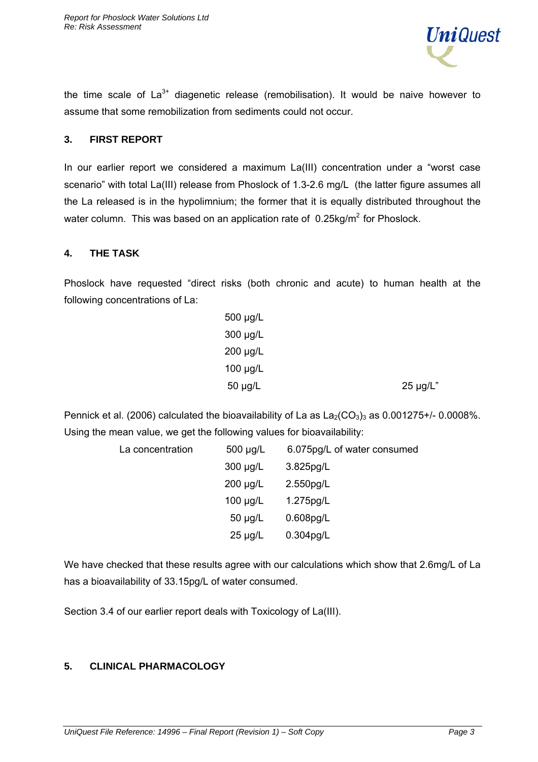

the time scale of  $La^{3+}$  diagenetic release (remobilisation). It would be naive however to assume that some remobilization from sediments could not occur.

#### **3. FIRST REPORT**

In our earlier report we considered a maximum La(III) concentration under a "worst case scenario" with total La(III) release from Phoslock of 1.3-2.6 mg/L (the latter figure assumes all the La released is in the hypolimnium; the former that it is equally distributed throughout the water column. This was based on an application rate of 0.25kg/m<sup>2</sup> for Phoslock.

#### **4. THE TASK**

Phoslock have requested "direct risks (both chronic and acute) to human health at the following concentrations of La:

| 500 µg/L      |          |
|---------------|----------|
| $300 \mu g/L$ |          |
| $200 \mu g/L$ |          |
| $100 \mu g/L$ |          |
| 50 µg/L       | 25 µg/L" |

Pennick et al. (2006) calculated the bioavailability of La as  $La_2(CO_3)_3$  as 0.001275+/-0.0008%. Using the mean value, we get the following values for bioavailability:

| La concentration | $500 \mu g/L$ | 6.075pg/L of water consumed |
|------------------|---------------|-----------------------------|
|                  | $300 \mu g/L$ | $3.825$ pg/L                |
|                  | $200 \mu g/L$ | 2.550pg/L                   |
|                  | $100 \mu g/L$ | 1.275pg/L                   |
|                  | $50 \mu g/L$  | $0.608$ pg/L                |
|                  | $25 \mu g/L$  | $0.304$ pg/L                |
|                  |               |                             |

We have checked that these results agree with our calculations which show that 2.6mg/L of La has a bioavailability of 33.15pg/L of water consumed.

Section 3.4 of our earlier report deals with Toxicology of La(III).

### **5. CLINICAL PHARMACOLOGY**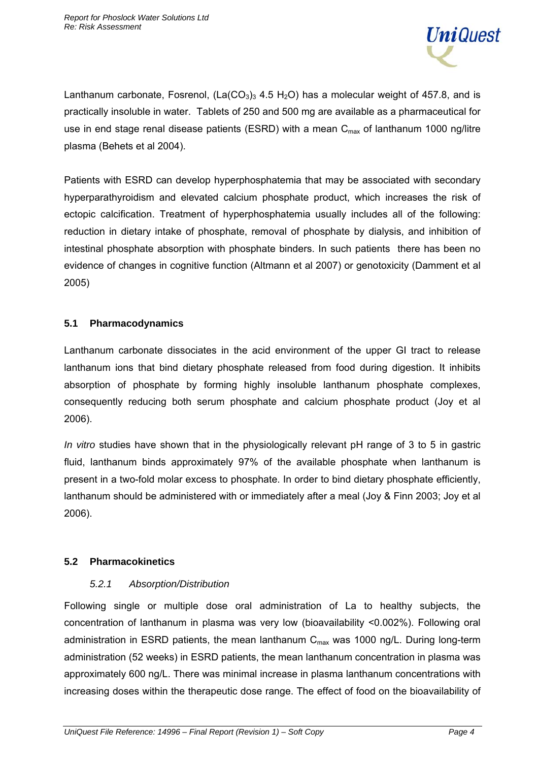

Lanthanum carbonate, Fosrenol,  $(La(CO<sub>3</sub>)<sub>3</sub> 4.5 H<sub>2</sub>O)$  has a molecular weight of 457.8, and is practically insoluble in water. Tablets of 250 and 500 mg are available as a pharmaceutical for use in end stage renal disease patients (ESRD) with a mean  $C_{\text{max}}$  of lanthanum 1000 ng/litre plasma (Behets et al 2004).

Patients with ESRD can develop hyperphosphatemia that may be associated with secondary hyperparathyroidism and elevated calcium phosphate product, which increases the risk of ectopic calcification. Treatment of hyperphosphatemia usually includes all of the following: reduction in dietary intake of phosphate, removal of phosphate by dialysis, and inhibition of intestinal phosphate absorption with phosphate binders. In such patients there has been no evidence of changes in cognitive function (Altmann et al 2007) or genotoxicity (Damment et al 2005)

# **5.1 Pharmacodynamics**

Lanthanum carbonate dissociates in the acid environment of the upper GI tract to release lanthanum ions that bind dietary phosphate released from food during digestion. It inhibits absorption of phosphate by forming highly insoluble lanthanum phosphate complexes, consequently reducing both serum phosphate and calcium phosphate product (Joy et al 2006).

*In vitro* studies have shown that in the physiologically relevant pH range of 3 to 5 in gastric fluid, lanthanum binds approximately 97% of the available phosphate when lanthanum is present in a two-fold molar excess to phosphate. In order to bind dietary phosphate efficiently, lanthanum should be administered with or immediately after a meal (Joy & Finn 2003; Joy et al 2006).

# **5.2 Pharmacokinetics**

# *5.2.1 Absorption/Distribution*

Following single or multiple dose oral administration of La to healthy subjects, the concentration of lanthanum in plasma was very low (bioavailability <0.002%). Following oral administration in ESRD patients, the mean lanthanum  $C_{\text{max}}$  was 1000 ng/L. During long-term administration (52 weeks) in ESRD patients, the mean lanthanum concentration in plasma was approximately 600 ng/L. There was minimal increase in plasma lanthanum concentrations with increasing doses within the therapeutic dose range. The effect of food on the bioavailability of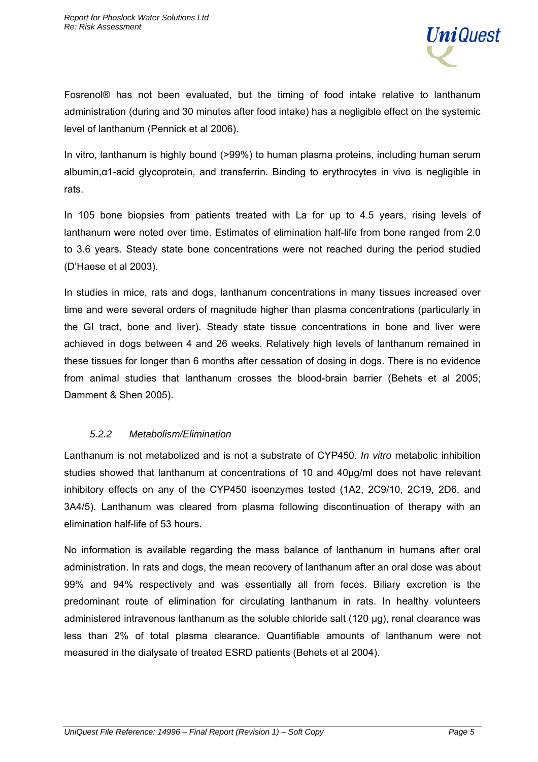

Fosrenol® has not been evaluated, but the timing of food intake relative to lanthanum administration (during and 30 minutes after food intake) has a negligible effect on the systemic level of lanthanum (Pennick et al 2006).

In vitro, lanthanum is highly bound (>99%) to human plasma proteins, including human serum albumin,α1-acid glycoprotein, and transferrin. Binding to erythrocytes in vivo is negligible in rats.

In 105 bone biopsies from patients treated with La for up to 4.5 years, rising levels of lanthanum were noted over time. Estimates of elimination half-life from bone ranged from 2.0 to 3.6 years. Steady state bone concentrations were not reached during the period studied (D'Haese et al 2003).

In studies in mice, rats and dogs, lanthanum concentrations in many tissues increased over time and were several orders of magnitude higher than plasma concentrations (particularly in the GI tract, bone and liver). Steady state tissue concentrations in bone and liver were achieved in dogs between 4 and 26 weeks. Relatively high levels of lanthanum remained in these tissues for longer than 6 months after cessation of dosing in dogs. There is no evidence from animal studies that lanthanum crosses the blood-brain barrier (Behets et al 2005; Damment & Shen 2005).

### *5.2.2 Metabolism/Elimination*

Lanthanum is not metabolized and is not a substrate of CYP450. *In vitro* metabolic inhibition studies showed that lanthanum at concentrations of 10 and 40μg/ml does not have relevant inhibitory effects on any of the CYP450 isoenzymes tested (1A2, 2C9/10, 2C19, 2D6, and 3A4/5). Lanthanum was cleared from plasma following discontinuation of therapy with an elimination half-life of 53 hours.

No information is available regarding the mass balance of lanthanum in humans after oral administration. In rats and dogs, the mean recovery of lanthanum after an oral dose was about 99% and 94% respectively and was essentially all from feces. Biliary excretion is the predominant route of elimination for circulating lanthanum in rats. In healthy volunteers administered intravenous lanthanum as the soluble chloride salt (120 μg), renal clearance was less than 2% of total plasma clearance. Quantifiable amounts of lanthanum were not measured in the dialysate of treated ESRD patients (Behets et al 2004).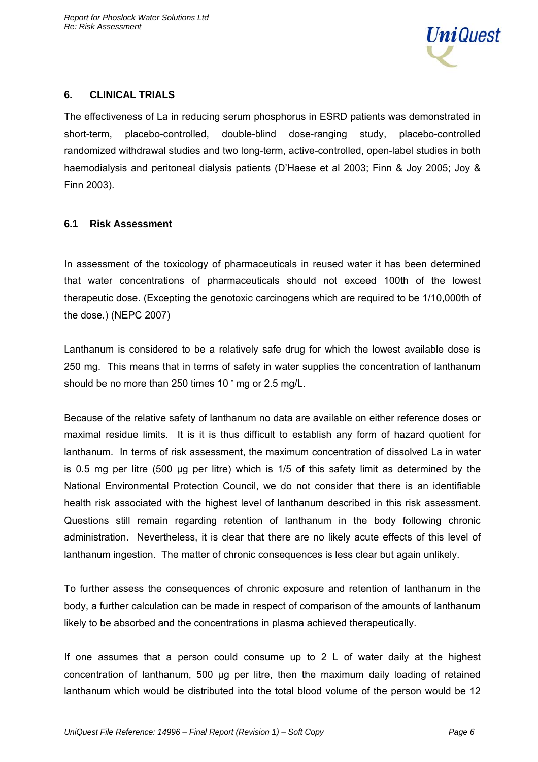

### **6. CLINICAL TRIALS**

The effectiveness of La in reducing serum phosphorus in ESRD patients was demonstrated in short-term, placebo-controlled, double-blind dose-ranging study, placebo-controlled randomized withdrawal studies and two long-term, active-controlled, open-label studies in both haemodialysis and peritoneal dialysis patients (D'Haese et al 2003; Finn & Joy 2005; Joy & Finn 2003).

### **6.1 Risk Assessment**

In assessment of the toxicology of pharmaceuticals in reused water it has been determined that water concentrations of pharmaceuticals should not exceed 100th of the lowest therapeutic dose. (Excepting the genotoxic carcinogens which are required to be 1/10,000th of the dose.) (NEPC 2007)

Lanthanum is considered to be a relatively safe drug for which the lowest available dose is 250 mg. This means that in terms of safety in water supplies the concentration of lanthanum should be no more than 250 times  $10<sup>-</sup>$  mg or 2.5 mg/L.

Because of the relative safety of lanthanum no data are available on either reference doses or maximal residue limits. It is it is thus difficult to establish any form of hazard quotient for lanthanum. In terms of risk assessment, the maximum concentration of dissolved La in water is 0.5 mg per litre (500 µg per litre) which is 1/5 of this safety limit as determined by the National Environmental Protection Council, we do not consider that there is an identifiable health risk associated with the highest level of lanthanum described in this risk assessment. Questions still remain regarding retention of lanthanum in the body following chronic administration. Nevertheless, it is clear that there are no likely acute effects of this level of lanthanum ingestion. The matter of chronic consequences is less clear but again unlikely.

To further assess the consequences of chronic exposure and retention of lanthanum in the body, a further calculation can be made in respect of comparison of the amounts of lanthanum likely to be absorbed and the concentrations in plasma achieved therapeutically.

If one assumes that a person could consume up to 2 L of water daily at the highest concentration of lanthanum, 500 µg per litre, then the maximum daily loading of retained lanthanum which would be distributed into the total blood volume of the person would be 12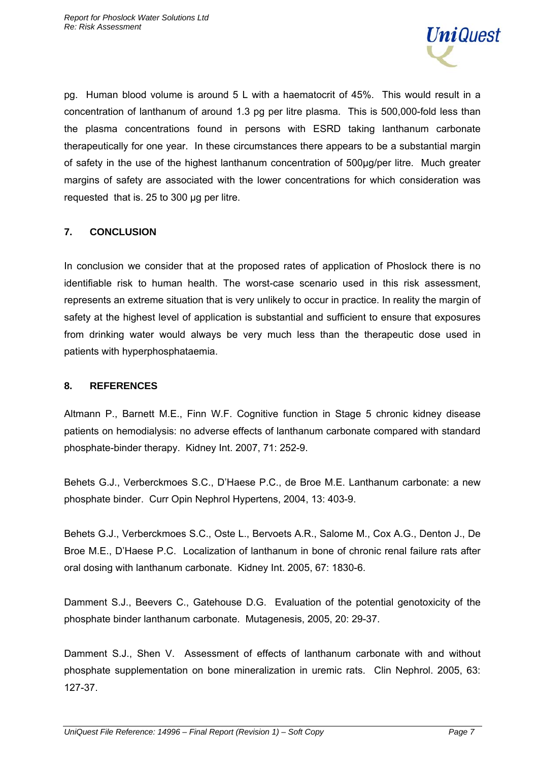

pg. Human blood volume is around 5 L with a haematocrit of 45%. This would result in a concentration of lanthanum of around 1.3 pg per litre plasma. This is 500,000-fold less than the plasma concentrations found in persons with ESRD taking lanthanum carbonate therapeutically for one year. In these circumstances there appears to be a substantial margin of safety in the use of the highest lanthanum concentration of 500µg/per litre. Much greater margins of safety are associated with the lower concentrations for which consideration was requested that is. 25 to 300 µg per litre.

# **7. CONCLUSION**

In conclusion we consider that at the proposed rates of application of Phoslock there is no identifiable risk to human health. The worst-case scenario used in this risk assessment, represents an extreme situation that is very unlikely to occur in practice. In reality the margin of safety at the highest level of application is substantial and sufficient to ensure that exposures from drinking water would always be very much less than the therapeutic dose used in patients with hyperphosphataemia.

### **8. REFERENCES**

Altmann P., Barnett M.E., Finn W.F. Cognitive function in Stage 5 chronic kidney disease patients on hemodialysis: no adverse effects of lanthanum carbonate compared with standard phosphate-binder therapy. Kidney Int. 2007, 71: 252-9.

Behets G.J., Verberckmoes S.C., D'Haese P.C., de Broe M.E. Lanthanum carbonate: a new phosphate binder. Curr Opin Nephrol Hypertens, 2004, 13: 403-9.

Behets G.J., Verberckmoes S.C., Oste L., Bervoets A.R., Salome M., Cox A.G., Denton J., De Broe M.E., D'Haese P.C. Localization of lanthanum in bone of chronic renal failure rats after oral dosing with lanthanum carbonate. Kidney Int. 2005, 67: 1830-6.

Damment S.J., Beevers C., Gatehouse D.G. Evaluation of the potential genotoxicity of the phosphate binder lanthanum carbonate. Mutagenesis, 2005, 20: 29-37.

Damment S.J., Shen V. Assessment of effects of lanthanum carbonate with and without phosphate supplementation on bone mineralization in uremic rats. Clin Nephrol. 2005, 63: 127-37.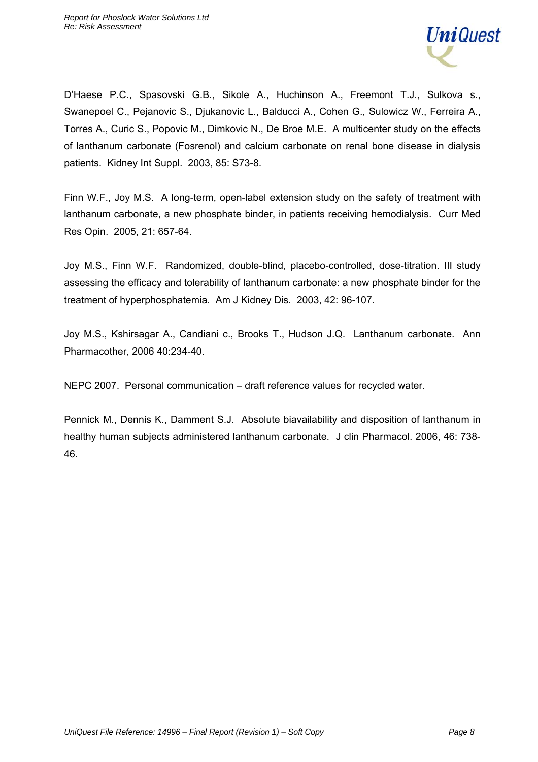

D'Haese P.C., Spasovski G.B., Sikole A., Huchinson A., Freemont T.J., Sulkova s., Swanepoel C., Pejanovic S., Djukanovic L., Balducci A., Cohen G., Sulowicz W., Ferreira A., Torres A., Curic S., Popovic M., Dimkovic N., De Broe M.E. A multicenter study on the effects of lanthanum carbonate (Fosrenol) and calcium carbonate on renal bone disease in dialysis patients. Kidney Int Suppl. 2003, 85: S73-8.

Finn W.F., Joy M.S. A long-term, open-label extension study on the safety of treatment with lanthanum carbonate, a new phosphate binder, in patients receiving hemodialysis. Curr Med Res Opin. 2005, 21: 657-64.

Joy M.S., Finn W.F. Randomized, double-blind, placebo-controlled, dose-titration. III study assessing the efficacy and tolerability of lanthanum carbonate: a new phosphate binder for the treatment of hyperphosphatemia. Am J Kidney Dis. 2003, 42: 96-107.

Joy M.S., Kshirsagar A., Candiani c., Brooks T., Hudson J.Q. Lanthanum carbonate. Ann Pharmacother, 2006 40:234-40.

NEPC 2007. Personal communication – draft reference values for recycled water.

Pennick M., Dennis K., Damment S.J. Absolute biavailability and disposition of lanthanum in healthy human subjects administered lanthanum carbonate. J clin Pharmacol. 2006, 46: 738- 46.